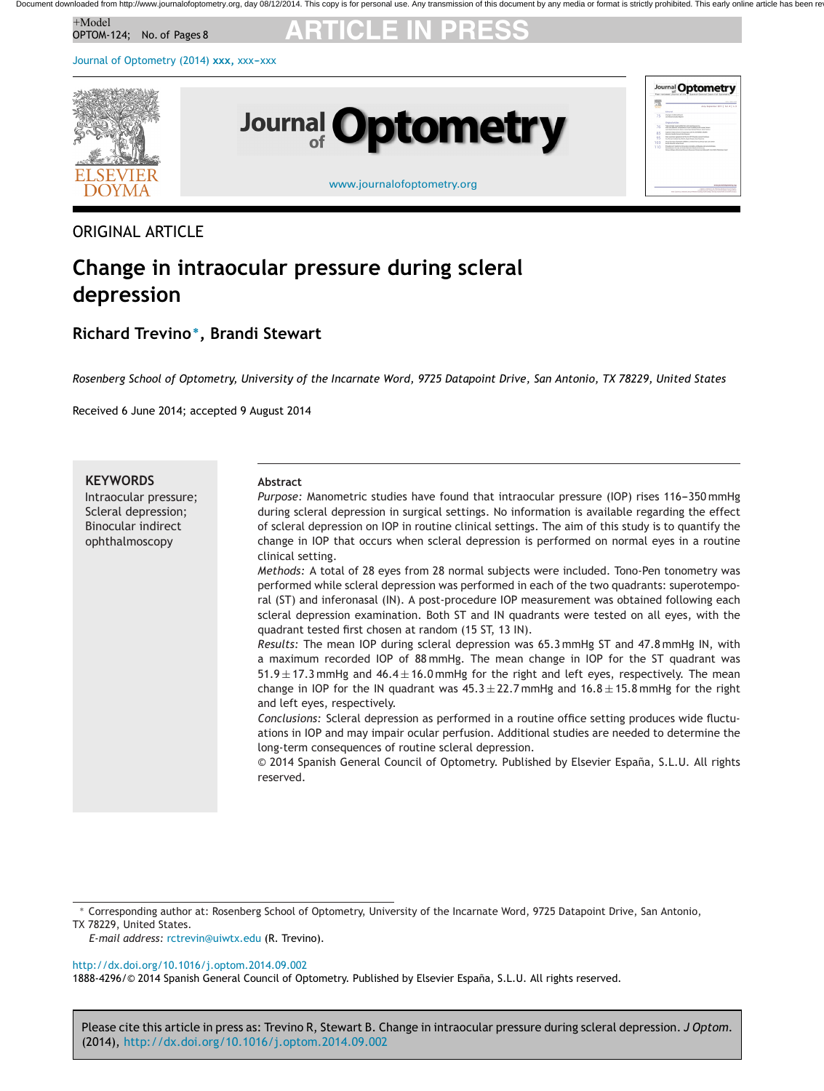Journal of [Optometry](dx.doi.org/10.1016/j.optom.2014.09.002) (2014) xxx, xxx-xxx



## ORIGINAL ARTICLE

# **Change in intraocular pressure during scleral depression**

# **Richard Trevino∗, Brandi Stewart**

Rosenberg School of Optometry, University of the Incarnate Word, 9725 Datapoint Drive, San Antonio, TX 78229, United States

Received 6 June 2014; accepted 9 August 2014

| Binocular indirect<br>of scleral depression on IOP in routine clinical settings. The aim of this study is to quantify the<br>change in IOP that occurs when scleral depression is performed on normal eyes in a routine<br>ophthalmoscopy<br>clinical setting.<br>Methods: A total of 28 eyes from 28 normal subjects were included. Tono-Pen tonometry was<br>performed while scleral depression was performed in each of the two quadrants: superotempo-<br>ral (ST) and inferonasal (IN). A post-procedure IOP measurement was obtained following each<br>scleral depression examination. Both ST and IN quadrants were tested on all eyes, with the<br>quadrant tested first chosen at random (15 ST, 13 IN).<br>Results: The mean IOP during scleral depression was 65.3 mmHg ST and 47.8 mmHg IN, with<br>a maximum recorded IOP of 88 mmHg. The mean change in IOP for the ST quadrant was<br>$51.9 \pm 17.3$ mmHg and $46.4 \pm 16.0$ mmHg for the right and left eyes, respectively. The mean<br>change in IOP for the IN quadrant was $45.3 \pm 22.7$ mmHg and $16.8 \pm 15.8$ mmHg for the right<br>and left eyes, respectively.<br>Conclusions: Scleral depression as performed in a routine office setting produces wide fluctu-<br>ations in IOP and may impair ocular perfusion. Additional studies are needed to determine the<br>long-term consequences of routine scleral depression.<br>© 2014 Spanish General Council of Optometry. Published by Elsevier España, S.L.U. All rights<br>reserved. |
|----------------------------------------------------------------------------------------------------------------------------------------------------------------------------------------------------------------------------------------------------------------------------------------------------------------------------------------------------------------------------------------------------------------------------------------------------------------------------------------------------------------------------------------------------------------------------------------------------------------------------------------------------------------------------------------------------------------------------------------------------------------------------------------------------------------------------------------------------------------------------------------------------------------------------------------------------------------------------------------------------------------------------------------------------------------------------------------------------------------------------------------------------------------------------------------------------------------------------------------------------------------------------------------------------------------------------------------------------------------------------------------------------------------------------------------------------------------------------------------------------------------------|
|----------------------------------------------------------------------------------------------------------------------------------------------------------------------------------------------------------------------------------------------------------------------------------------------------------------------------------------------------------------------------------------------------------------------------------------------------------------------------------------------------------------------------------------------------------------------------------------------------------------------------------------------------------------------------------------------------------------------------------------------------------------------------------------------------------------------------------------------------------------------------------------------------------------------------------------------------------------------------------------------------------------------------------------------------------------------------------------------------------------------------------------------------------------------------------------------------------------------------------------------------------------------------------------------------------------------------------------------------------------------------------------------------------------------------------------------------------------------------------------------------------------------|

∗ Corresponding author at: Rosenberg School of Optometry, University of the Incarnate Word, 9725 Datapoint Drive, San Antonio, TX 78229, United States.

*E-mail address:* [rctrevin@uiwtx.edu](mailto:rctrevin@uiwtx.edu) (R. Trevino).

#### [http://dx.doi.org/10.1016/j.optom.2014.09.002](dx.doi.org/10.1016/j.optom.2014.09.002)

1888-4296/© 2014 Spanish General Council of Optometry. Published by Elsevier España, S.L.U. All rights reserved.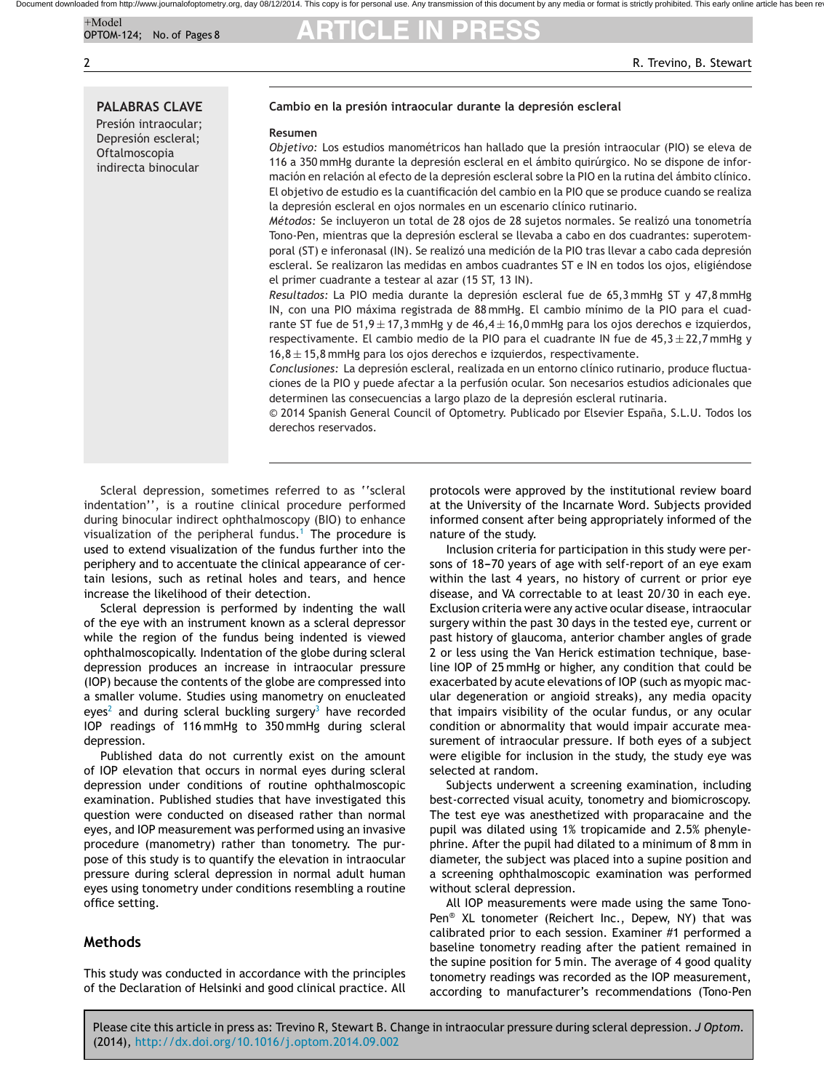#### **PALABRAS CLAVE**

Presión intraocular; Depresión escleral; **Oftalmoscopia** indirecta binocular

#### **Cambio en la presión intraocular durante la depresión escleral**

#### **Resumen**

*Objetivo:* Los estudios manométricos han hallado que la presión intraocular (PIO) se eleva de 116 a 350 mmHg durante la depresión escleral en el ámbito quirúrgico. No se dispone de información en relación al efecto de la depresión escleral sobre la PIO en la rutina del ámbito clínico. El objetivo de estudio es la cuantificación del cambio en la PIO que se produce cuando se realiza la depresión escleral en ojos normales en un escenario clínico rutinario.

*Métodos:* Se incluyeron un total de 28 ojos de 28 sujetos normales. Se realizó una tonometría Tono-Pen, mientras que la depresión escleral se llevaba a cabo en dos cuadrantes: superotemporal (ST) e inferonasal (IN). Se realizó una medición de la PIO tras llevar a cabo cada depresión escleral. Se realizaron las medidas en ambos cuadrantes ST e IN en todos los ojos, eligiéndose el primer cuadrante a testear al azar (15 ST, 13 IN).

*Resultados:* La PIO media durante la depresión escleral fue de 65,3 mmHg ST y 47,8 mmHg IN, con una PIO máxima registrada de 88 mmHg. El cambio mínimo de la PIO para el cuadrante ST fue de 51,9  $\pm$  17,3 mmHg y de 46,4  $\pm$  16,0 mmHg para los ojos derechos e izquierdos, respectivamente. El cambio medio de la PIO para el cuadrante IN fue de 45,3  $\pm$  22,7 mmHg y  $16,8 \pm 15,8$  mmHg para los ojos derechos e izquierdos, respectivamente.

*Conclusiones:* La depresión escleral, realizada en un entorno clínico rutinario, produce fluctuaciones de la PIO y puede afectar a la perfusión ocular. Son necesarios estudios adicionales que determinen las consecuencias a largo plazo de la depresión escleral rutinaria.

© 2014 Spanish General Council of Optometry. Publicado por Elsevier España, S.L.U. Todos los derechos reservados.

Scleral depression, sometimes referred to as ''scleral indentation'', is a routine clinical procedure performed during binocular indirect ophthalmoscopy (BIO) to enhance visualization of the peripheral fundus.<sup>[1](#page-6-0)</sup> The procedure is used to extend visualization of the fundus further into the periphery and to accentuate the clinical appearance of certain lesions, such as retinal holes and tears, and hence increase the likelihood of their detection.

Scleral depression is performed by indenting the wall of the eye with an instrument known as a scleral depressor while the region of the fundus being indented is viewed ophthalmoscopically. Indentation of the globe during scleral depression produces an increase in intraocular pressure (IOP) because the contents of the globe are compressed into a smaller volume. Studies using manometry on enucleated eyes<sup>[2](#page-6-0)</sup> and during scleral buckling surgery<sup>[3](#page-6-0)</sup> have recorded IOP readings of 116 mmHg to 350 mmHg during scleral depression.

Published data do not currently exist on the amount of IOP elevation that occurs in normal eyes during scleral depression under conditions of routine ophthalmoscopic examination. Published studies that have investigated this question were conducted on diseased rather than normal eyes, and IOP measurement was performed using an invasive procedure (manometry) rather than tonometry. The purpose of this study is to quantify the elevation in intraocular pressure during scleral depression in normal adult human eyes using tonometry under conditions resembling a routine office setting.

### **Methods**

This study was conducted in accordance with the principles of the Declaration of Helsinki and good clinical practice. All protocols were approved by the institutional review board at the University of the Incarnate Word. Subjects provided informed consent after being appropriately informed of the nature of the study.

Inclusion criteria for participation in this study were persons of 18-70 years of age with self-report of an eye exam within the last 4 years, no history of current or prior eye disease, and VA correctable to at least 20/30 in each eye. Exclusion criteria were any active ocular disease, intraocular surgery within the past 30 days in the tested eye, current or past history of glaucoma, anterior chamber angles of grade 2 or less using the Van Herick estimation technique, baseline IOP of 25 mmHg or higher, any condition that could be exacerbated by acute elevations of IOP (such as myopic macular degeneration or angioid streaks), any media opacity that impairs visibility of the ocular fundus, or any ocular condition or abnormality that would impair accurate measurement of intraocular pressure. If both eyes of a subject were eligible for inclusion in the study, the study eye was selected at random.

Subjects underwent a screening examination, including best-corrected visual acuity, tonometry and biomicroscopy. The test eye was anesthetized with proparacaine and the pupil was dilated using 1% tropicamide and 2.5% phenylephrine. After the pupil had dilated to a minimum of 8 mm in diameter, the subject was placed into a supine position and a screening ophthalmoscopic examination was performed without scleral depression.

All IOP measurements were made using the same Tono-Pen® XL tonometer (Reichert Inc., Depew, NY) that was calibrated prior to each session. Examiner #1 performed a baseline tonometry reading after the patient remained in the supine position for 5 min. The average of 4 good quality tonometry readings was recorded as the IOP measurement, according to manufacturer's recommendations (Tono-Pen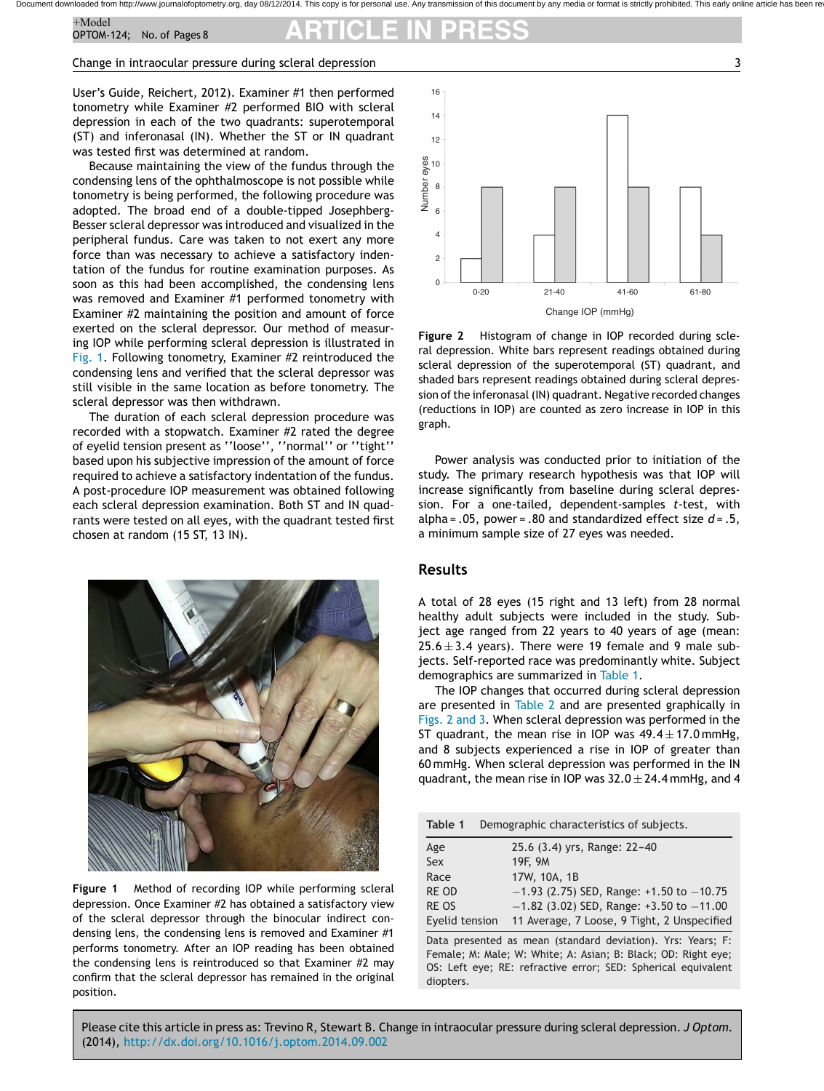#### Change in intraocular pressure during scleral depression 3

User's Guide, Reichert, 2012). Examiner #1 then performed tonometry while Examiner #2 performed BIO with scleral depression in each of the two quadrants: superotemporal (ST) and inferonasal (IN). Whether the ST or IN quadrant was tested first was determined at random.

Because maintaining the view of the fundus through the condensing lens of the ophthalmoscope is not possible while tonometry is being performed, the following procedure was adopted. The broad end of a double-tipped Josephberg-Besser scleral depressor was introduced and visualized in the peripheral fundus. Care was taken to not exert any more force than was necessary to achieve a satisfactory indentation of the fundus for routine examination purposes. As soon as this had been accomplished, the condensing lens was removed and Examiner #1 performed tonometry with Examiner #2 maintaining the position and amount of force exerted on the scleral depressor. Our method of measuring IOP while performing scleral depression is illustrated in Fig. 1. Following tonometry, Examiner #2 reintroduced the condensing lens and verified that the scleral depressor was still visible in the same location as before tonometry. The scleral depressor was then withdrawn.

The duration of each scleral depression procedure was recorded with a stopwatch. Examiner #2 rated the degree of eyelid tension present as ''loose'', ''normal'' or ''tight'' based upon his subjective impression of the amount of force required to achieve a satisfactory indentation of the fundus. A post-procedure IOP measurement was obtained following each scleral depression examination. Both ST and IN quadrants were tested on all eyes, with the quadrant tested first chosen at random (15 ST, 13 IN).



**Figure 1** Method of recording IOP while performing scleral depression. Once Examiner #2 has obtained a satisfactory view of the scleral depressor through the binocular indirect condensing lens, the condensing lens is removed and Examiner #1 performs tonometry. After an IOP reading has been obtained the condensing lens is reintroduced so that Examiner #2 may confirm that the scleral depressor has remained in the original position.



**Figure 2** Histogram of change in IOP recorded during scleral depression. White bars represent readings obtained during scleral depression of the superotemporal (ST) quadrant, and shaded bars represent readings obtained during scleral depression of the inferonasal (IN) quadrant. Negative recorded changes (reductions in IOP) are counted as zero increase in IOP in this graph.

Power analysis was conducted prior to initiation of the study. The primary research hypothesis was that IOP will increase significantly from baseline during scleral depression. For a one-tailed, dependent-samples *t*-test, with alpha = .05, power = .80 and standardized effect size *d* = .5, a minimum sample size of 27 eyes was needed.

### **Results**

A total of 28 eyes (15 right and 13 left) from 28 normal healthy adult subjects were included in the study. Subject age ranged from 22 years to 40 years of age (mean:  $25.6 \pm 3.4$  years). There were 19 female and 9 male subjects. Self-reported race was predominantly white. Subject demographics are summarized in Table 1.

The IOP changes that occurred during scleral depression are presented in [Table](#page-3-0) 2 and are presented graphically in Figs. 2 and 3. When scleral depression was performed in the ST quadrant, the mean rise in IOP was  $49.4 \pm 17.0$  mmHg, and 8 subjects experienced a rise in IOP of greater than 60 mmHg. When scleral depression was performed in the IN quadrant, the mean rise in IOP was  $32.0 \pm 24.4$  mmHg, and 4

**Table 1** Demographic characteristics of subjects.

| Age            | 25.6 (3.4) yrs, Range: 22-40                 |
|----------------|----------------------------------------------|
| Sex            | 19F, 9M                                      |
| Race           | 17W, 10A, 1B                                 |
| RE OD          | $-1.93$ (2.75) SED, Range: +1.50 to $-10.75$ |
| RE OS          | $-1.82$ (3.02) SED, Range: +3.50 to $-11.00$ |
| Eyelid tension | 11 Average, 7 Loose, 9 Tight, 2 Unspecified  |

Data presented as mean (standard deviation). Yrs: Years; F: Female; M: Male; W: White; A: Asian; B: Black; OD: Right eye; OS: Left eye; RE: refractive error; SED: Spherical equivalent diopters.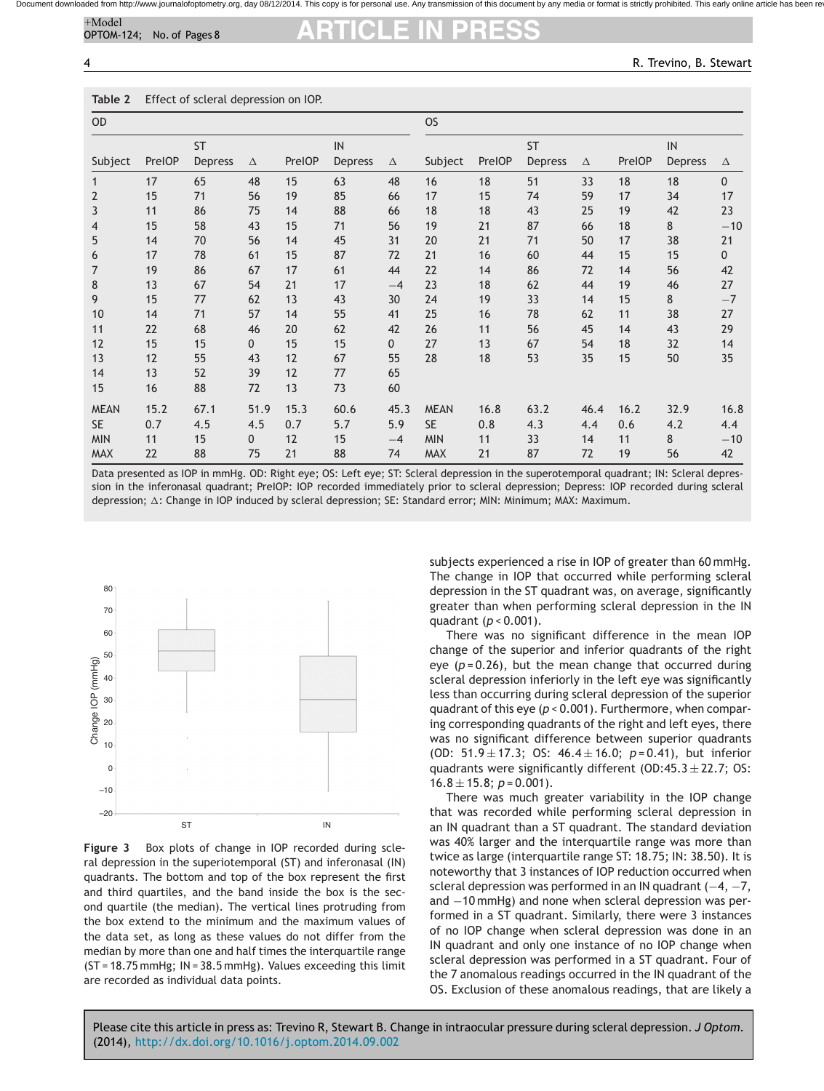### R. Trevino, B. Stewart

| OD                       |        |                |      |        |                |             | <b>OS</b>   |        |           |          |        |                |                     |
|--------------------------|--------|----------------|------|--------|----------------|-------------|-------------|--------|-----------|----------|--------|----------------|---------------------|
|                          |        | <b>ST</b>      |      |        | IN             |             |             |        | <b>ST</b> |          |        | IN             |                     |
| Subject                  | PreIOP | <b>Depress</b> | Δ    | PreIOP | <b>Depress</b> | $\Delta$    | Subject     | PreIOP | Depress   | $\Delta$ | PreIOP | <b>Depress</b> | $\Delta$            |
| $\mathbf{1}$             | 17     | 65             | 48   | 15     | 63             | 48          | 16          | 18     | 51        | 33       | 18     | 18             | 0                   |
| 2                        | 15     | 71             | 56   | 19     | 85             | 66          | 17          | 15     | 74        | 59       | 17     | 34             | 17                  |
| 3                        | 11     | 86             | 75   | 14     | 88             | 66          | 18          | 18     | 43        | 25       | 19     | 42             | 23                  |
| 4                        | 15     | 58             | 43   | 15     | 71             | 56          | 19          | 21     | 87        | 66       | 18     | 8              | $-10$               |
| 5                        | 14     | 70             | 56   | 14     | 45             | 31          | 20          | 21     | 71        | 50       | 17     | 38             | 21                  |
| 6                        | 17     | 78             | 61   | 15     | 87             | 72          | 21          | 16     | 60        | 44       | 15     | 15             | $\mathsf{O}\xspace$ |
| $\overline{\mathcal{I}}$ | 19     | 86             | 67   | 17     | 61             | 44          | 22          | 14     | 86        | 72       | 14     | 56             | 42                  |
| 8                        | 13     | 67             | 54   | 21     | 17             | $-4$        | 23          | 18     | 62        | 44       | 19     | 46             | 27                  |
| 9                        | 15     | 77             | 62   | 13     | 43             | 30          | 24          | 19     | 33        | 14       | 15     | 8              | $-7$                |
| 10                       | 14     | 71             | 57   | 14     | 55             | 41          | 25          | 16     | 78        | 62       | 11     | 38             | 27                  |
| 11                       | 22     | 68             | 46   | 20     | 62             | 42          | 26          | 11     | 56        | 45       | 14     | 43             | 29                  |
| 12                       | 15     | 15             | 0    | 15     | 15             | $\mathbf 0$ | 27          | 13     | 67        | 54       | 18     | 32             | 14                  |
| 13                       | 12     | 55             | 43   | 12     | 67             | 55          | 28          | 18     | 53        | 35       | 15     | 50             | 35                  |
| 14                       | 13     | 52             | 39   | 12     | 77             | 65          |             |        |           |          |        |                |                     |
| 15                       | 16     | 88             | 72   | 13     | 73             | 60          |             |        |           |          |        |                |                     |
| <b>MEAN</b>              | 15.2   | 67.1           | 51.9 | 15.3   | 60.6           | 45.3        | <b>MEAN</b> | 16.8   | 63.2      | 46.4     | 16.2   | 32.9           | 16.8                |
| <b>SE</b>                | 0.7    | 4.5            | 4.5  | 0.7    | 5.7            | 5.9         | <b>SE</b>   | 0.8    | 4.3       | 4.4      | 0.6    | 4.2            | 4.4                 |
| <b>MIN</b>               | 11     | 15             | 0    | 12     | 15             | $-4$        | <b>MIN</b>  | 11     | 33        | 14       | 11     | 8              | $-10$               |
| <b>MAX</b>               | 22     | 88             | 75   | 21     | 88             | 74          | <b>MAX</b>  | 21     | 87        | 72       | 19     | 56             | 42                  |

**Table 2** Effect of scleral depression on IOP.

Data presented as IOP in mmHg. OD: Right eye; OS: Left eye; ST: Scleral depression in the superotemporal quadrant; IN: Scleral depression in the inferonasal quadrant; PreIOP: IOP recorded immediately prior to scleral depression; Depress: IOP recorded during scleral depression;  $\Delta$ : Change in IOP induced by scleral depression; SE: Standard error; MIN: Minimum; MAX: Maximum.



**Figure 3** Box plots of change in IOP recorded during scleral depression in the superiotemporal (ST) and inferonasal (IN) quadrants. The bottom and top of the box represent the first and third quartiles, and the band inside the box is the second quartile (the median). The vertical lines protruding from the box extend to the minimum and the maximum values of the data set, as long as these values do not differ from the median by more than one and half times the interquartile range (ST = 18.75 mmHg; IN = 38.5 mmHg). Values exceeding this limit are recorded as individual data points.

subjects experienced a rise in IOP of greater than 60 mmHg. The change in IOP that occurred while performing scleral depression in the ST quadrant was, on average, significantly greater than when performing scleral depression in the IN quadrant (*p* < 0.001).

There was no significant difference in the mean IOP change of the superior and inferior quadrants of the right eye ( $p = 0.26$ ), but the mean change that occurred during scleral depression inferiorly in the left eye was significantly less than occurring during scleral depression of the superior quadrant of this eye (*p* < 0.001). Furthermore, when comparing corresponding quadrants of the right and left eyes, there was no significant difference between superior quadrants (OD: 51.9 ± 17.3; OS: 46.4 ± 16.0; *p* = 0.41), but inferior quadrants were significantly different (OD:45.3  $\pm$  22.7; OS:  $16.8 \pm 15.8$ ;  $p = 0.001$ ).

There was much greater variability in the IOP change that was recorded while performing scleral depression in an IN quadrant than a ST quadrant. The standard deviation was 40% larger and the interquartile range was more than twice as large (interquartile range ST: 18.75; IN: 38.50). It is noteworthy that 3 instances of IOP reduction occurred when scleral depression was performed in an IN quadrant ( $-4$ ,  $-7$ , and −10 mmHg) and none when scleral depression was performed in a ST quadrant. Similarly, there were 3 instances of no IOP change when scleral depression was done in an IN quadrant and only one instance of no IOP change when scleral depression was performed in a ST quadrant. Four of the 7 anomalous readings occurred in the IN quadrant of the OS. Exclusion of these anomalous readings, that are likely a

<span id="page-3-0"></span>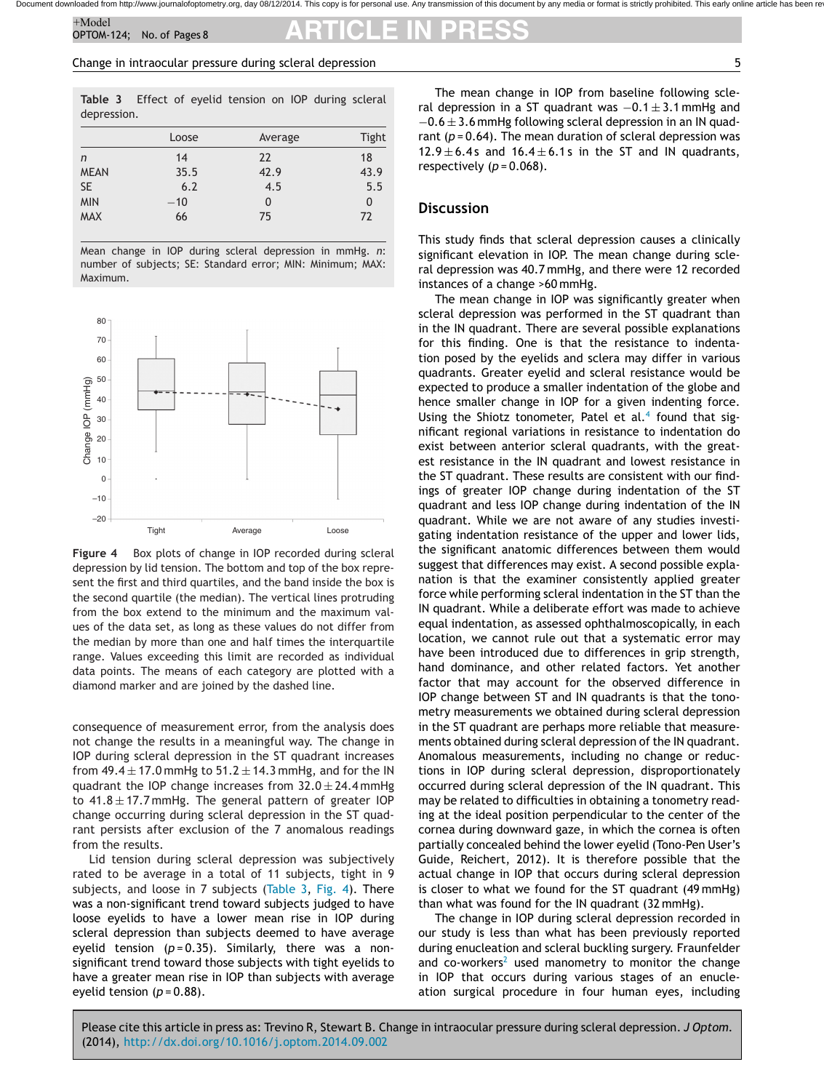Change in intraocular pressure during scleral depression 5

**Table 3** Effect of eyelid tension on IOP during scleral depression.

|             | Loose | Average | Tight |
|-------------|-------|---------|-------|
| n           | 14    | 22      | 18    |
| <b>MEAN</b> | 35.5  | 42.9    | 43.9  |
| SE.         | 6.2   | 4.5     | 5.5   |
| <b>MIN</b>  | $-10$ | 0       | 0     |
| <b>MAX</b>  | 66    | 75      | 72    |
|             |       |         |       |

Mean change in IOP during scleral depression in mmHg. *n*: number of subjects; SE: Standard error; MIN: Minimum; MAX: Maximum.



**Figure 4** Box plots of change in IOP recorded during scleral depression by lid tension. The bottom and top of the box represent the first and third quartiles, and the band inside the box is the second quartile (the median). The vertical lines protruding from the box extend to the minimum and the maximum values of the data set, as long as these values do not differ from the median by more than one and half times the interquartile range. Values exceeding this limit are recorded as individual data points. The means of each category are plotted with a diamond marker and are joined by the dashed line.

consequence of measurement error, from the analysis does not change the results in a meaningful way. The change in IOP during scleral depression in the ST quadrant increases from  $49.4 \pm 17.0$  mmHg to  $51.2 \pm 14.3$  mmHg, and for the IN quadrant the IOP change increases from  $32.0 \pm 24.4$  mmHg to  $41.8 \pm 17.7$  mmHg. The general pattern of greater IOP change occurring during scleral depression in the ST quadrant persists after exclusion of the 7 anomalous readings from the results.

Lid tension during scleral depression was subjectively rated to be average in a total of 11 subjects, tight in 9 subjects, and loose in 7 subjects (Table 3, Fig. 4). There was a non-significant trend toward subjects judged to have loose eyelids to have a lower mean rise in IOP during scleral depression than subjects deemed to have average eyelid tension (p=0.35). Similarly, there was a nonsignificant trend toward those subjects with tight eyelids to have a greater mean rise in IOP than subjects with average eyelid tension  $(p=0.88)$ .

The mean change in IOP from baseline following scleral depression in a ST quadrant was  $-0.1 \pm 3.1$  mmHg and  $-0.6 \pm 3.6$  mmHg following scleral depression in an IN quadrant ( $p = 0.64$ ). The mean duration of scleral depression was 12.9  $\pm$  6.4s and 16.4  $\pm$  6.1s in the ST and IN quadrants, respectively  $(p = 0.068)$ .

### **Discussion**

This study finds that scleral depression causes a clinically significant elevation in IOP. The mean change during scleral depression was 40.7 mmHg, and there were 12 recorded instances of a change >60 mmHg.

The mean change in IOP was significantly greater when scleral depression was performed in the ST quadrant than in the IN quadrant. There are several possible explanations for this finding. One is that the resistance to indentation posed by the eyelids and sclera may differ in various quadrants. Greater eyelid and scleral resistance would be expected to produce a smaller indentation of the globe and hence smaller change in IOP for a given indenting force. Using the Shiotz tonometer, Patel et al.<sup>[4](#page-6-0)</sup> found that significant regional variations in resistance to indentation do exist between anterior scleral quadrants, with the greatest resistance in the IN quadrant and lowest resistance in the ST quadrant. These results are consistent with our findings of greater IOP change during indentation of the ST quadrant and less IOP change during indentation of the IN quadrant. While we are not aware of any studies investigating indentation resistance of the upper and lower lids, the significant anatomic differences between them would suggest that differences may exist. A second possible explanation is that the examiner consistently applied greater force while performing scleral indentation in the ST than the IN quadrant. While a deliberate effort was made to achieve equal indentation, as assessed ophthalmoscopically, in each location, we cannot rule out that a systematic error may have been introduced due to differences in grip strength, hand dominance, and other related factors. Yet another factor that may account for the observed difference in IOP change between ST and IN quadrants is that the tonometry measurements we obtained during scleral depression in the ST quadrant are perhaps more reliable that measurements obtained during scleral depression of the IN quadrant. Anomalous measurements, including no change or reductions in IOP during scleral depression, disproportionately occurred during scleral depression of the IN quadrant. This may be related to difficulties in obtaining a tonometry reading at the ideal position perpendicular to the center of the cornea during downward gaze, in which the cornea is often partially concealed behind the lower eyelid (Tono-Pen User's Guide, Reichert, 2012). It is therefore possible that the actual change in IOP that occurs during scleral depression is closer to what we found for the ST quadrant (49 mmHg) than what was found for the IN quadrant (32 mmHg).

The change in IOP during scleral depression recorded in our study is less than what has been previously reported during enucleation and scleral buckling surgery. Fraunfelder and co-workers<sup>[2](#page-6-0)</sup> used manometry to monitor the change in IOP that occurs during various stages of an enucleation surgical procedure in four human eyes, including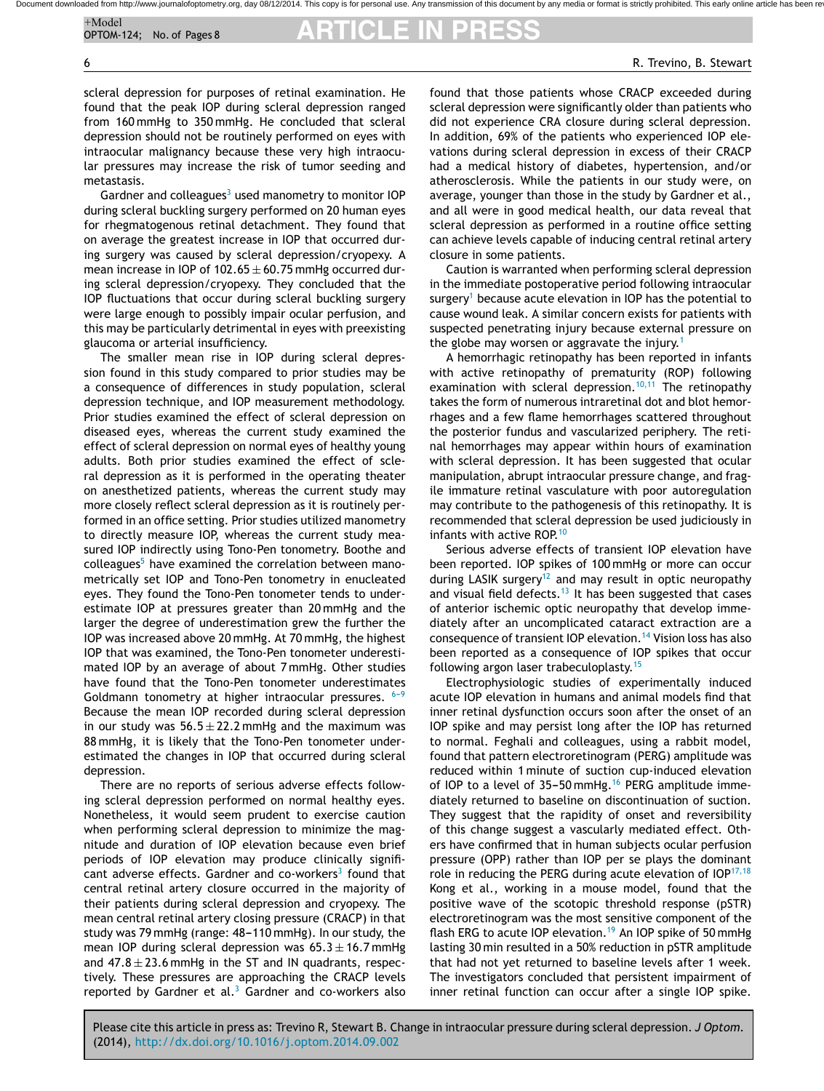scleral depression for purposes of retinal examination. He found that the peak IOP during scleral depression ranged from 160 mmHg to 350 mmHg. He concluded that scleral depression should not be routinely performed on eyes with intraocular malignancy because these very high intraocular pressures may increase the risk of tumor seeding and metastasis.

Gardner and colleag[u](#page-6-0)es<sup>3</sup> used manometry to monitor IOP during scleral buckling surgery performed on 20 human eyes for rhegmatogenous retinal detachment. They found that on average the greatest increase in IOP that occurred during surgery was caused by scleral depression/cryopexy. A mean increase in IOP of  $102.65 \pm 60.75$  mmHg occurred during scleral depression/cryopexy. They concluded that the IOP fluctuations that occur during scleral buckling surgery were large enough to possibly impair ocular perfusion, and this may be particularly detrimental in eyes with preexisting glaucoma or arterial insufficiency.

The smaller mean rise in IOP during scleral depression found in this study compared to prior studies may be a consequence of differences in study population, scleral depression technique, and IOP measurement methodology. Prior studies examined the effect of scleral depression on diseased eyes, whereas the current study examined the effect of scleral depression on normal eyes of healthy young adults. Both prior studies examined the effect of scleral depression as it is performed in the operating theater on anesthetized patients, whereas the current study may more closely reflect scleral depression as it is routinely performed in an office setting. Prior studies utilized manometry to directly measure IOP, whereas the current study measured IOP indirectly using Tono-Pen tonometry. Boothe and colleagues<sup>[5](#page-6-0)</sup> have examined the correlation between manometrically set IOP and Tono-Pen tonometry in enucleated eyes. They found the Tono-Pen tonometer tends to underestimate IOP at pressures greater than 20 mmHg and the larger the degree of underestimation grew the further the IOP was increased above 20 mmHg. At 70 mmHg, the highest IOP that was examined, the Tono-Pen tonometer underestimated IOP by an average of about 7 mmHg. Other studies have found that the Tono-Pen tonometer underestimates Goldmann tonometry at higher intraocular pressures.  $6-9$ Because the mean IOP recorded during scleral depression in our study was  $56.5 \pm 22.2$  mmHg and the maximum was 88 mmHg, it is likely that the Tono-Pen tonometer underestimated the changes in IOP that occurred during scleral depression.

There are no reports of serious adverse effects following scleral depression performed on normal healthy eyes. Nonetheless, it would seem prudent to exercise caution when performing scleral depression to minimize the magnitude and duration of IOP elevation because even brief periods of IOP elevation may produce clinically signifi-cant adverse effects. Gardner and co-workers<sup>[3](#page-6-0)</sup> found that central retinal artery closure occurred in the majority of their patients during scleral depression and cryopexy. The mean central retinal artery closing pressure (CRACP) in that study was 79 mmHg (range: 48-110 mmHg). In our study, the mean IOP during scleral depression was  $65.3 \pm 16.7$  mmHg and  $47.8 \pm 23.6$  mmHg in the ST and IN quadrants, respectively. These pressures are approaching the CRACP levels reported by Gardner et al. $3$  Gardner and co-workers also

found that those patients whose CRACP exceeded during scleral depression were significantly older than patients who did not experience CRA closure during scleral depression. In addition, 69% of the patients who experienced IOP elevations during scleral depression in excess of their CRACP had a medical history of diabetes, hypertension, and/or atherosclerosis. While the patients in our study were, on average, younger than those in the study by Gardner et al., and all were in good medical health, our data reveal that scleral depression as performed in a routine office setting can achieve levels capable of inducing central retinal artery closure in some patients.

Caution is warranted when performing scleral depression in the immediate postoperative period following intraocular surgery<sup>1</sup> [b](#page-6-0)ecause acute elevation in IOP has the potential to cause wound leak. A similar concern exists for patients with suspected penetrating injury because external pressure on the globe may worsen or aggravate the injury.<sup>[1](#page-6-0)</sup>

A hemorrhagic retinopathy has been reported in infants with active retinopathy of prematurity (ROP) following examination with scleral depression.<sup>[10,11](#page-6-0)</sup> The retinopathy takes the form of numerous intraretinal dot and blot hemorrhages and a few flame hemorrhages scattered throughout the posterior fundus and vascularized periphery. The retinal hemorrhages may appear within hours of examination with scleral depression. It has been suggested that ocular manipulation, abrupt intraocular pressure change, and fragile immature retinal vasculature with poor autoregulation may contribute to the pathogenesis of this retinopathy. It is recommended that scleral depression be used judiciously in infants with active ROP.<sup>[10](#page-6-0)</sup>

Serious adverse effects of transient IOP elevation have been reported. IOP spikes of 100 mmHg or more can occur during LASIK surgery<sup>[12](#page-6-0)</sup> and may result in optic neuropathy and visual field defects.<sup>[13](#page-7-0)</sup> It has been suggested that cases of anterior ischemic optic neuropathy that develop immediately after an uncomplicated cataract extraction are a consequence of transient IOP elevation.<sup>[14](#page-7-0)</sup> Vision loss has also been reported as a consequence of IOP spikes that occur following argon laser trabeculoplasty.[15](#page-7-0)

Electrophysiologic studies of experimentally induced acute IOP elevation in humans and animal models find that inner retinal dysfunction occurs soon after the onset of an IOP spike and may persist long after the IOP has returned to normal. Feghali and colleagues, using a rabbit model, found that pattern electroretinogram (PERG) amplitude was reduced within 1 minute of suction cup-induced elevation of IOP to a level of  $35-50$  mmHg.<sup>[16](#page-7-0)</sup> PERG amplitude immediately returned to baseline on discontinuation of suction. They suggest that the rapidity of onset and reversibility of this change suggest a vascularly mediated effect. Others have confirmed that in human subjects ocular perfusion pressure (OPP) rather than IOP per se plays the dominant role in reducing the PERG during acute elevation of  $IOP^{17,18}$  $IOP^{17,18}$  $IOP^{17,18}$ Kong et al., working in a mouse model, found that the positive wave of the scotopic threshold response (pSTR) electroretinogram was the most sensitive component of the flash ERG to acute IOP elevation.<sup>[19](#page-7-0)</sup> An IOP spike of 50 mmHg lasting 30 min resulted in a 50% reduction in pSTR amplitude that had not yet returned to baseline levels after 1 week. The investigators concluded that persistent impairment of inner retinal function can occur after a single IOP spike.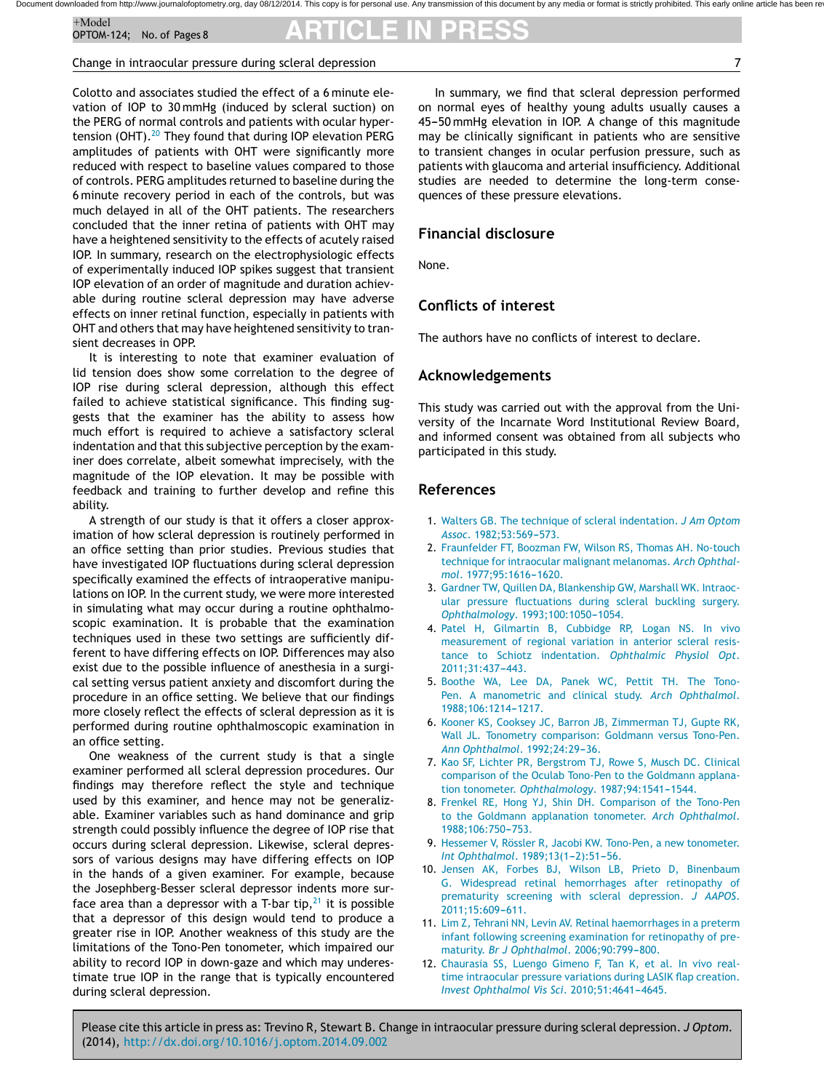### <span id="page-6-0"></span>Change in intraocular pressure during scleral depression 7

Colotto and associates studied the effect of a 6 minute elevation of IOP to 30 mmHg (induced by scleral suction) on the PERG of normal controls and patients with ocular hypertension (OHT). $20$  They found that during IOP elevation PERG amplitudes of patients with OHT were significantly more reduced with respect to baseline values compared to those of controls. PERG amplitudes returned to baseline during the 6 minute recovery period in each of the controls, but was much delayed in all of the OHT patients. The researchers concluded that the inner retina of patients with OHT may have a heightened sensitivity to the effects of acutely raised IOP. In summary, research on the electrophysiologic effects of experimentally induced IOP spikes suggest that transient IOP elevation of an order of magnitude and duration achievable during routine scleral depression may have adverse effects on inner retinal function, especially in patients with OHT and others that may have heightened sensitivity to transient decreases in OPP.

It is interesting to note that examiner evaluation of lid tension does show some correlation to the degree of IOP rise during scleral depression, although this effect failed to achieve statistical significance. This finding suggests that the examiner has the ability to assess how much effort is required to achieve a satisfactory scleral indentation and that this subjective perception by the examiner does correlate, albeit somewhat imprecisely, with the magnitude of the IOP elevation. It may be possible with feedback and training to further develop and refine this ability.

A strength of our study is that it offers a closer approximation of how scleral depression is routinely performed in an office setting than prior studies. Previous studies that have investigated IOP fluctuations during scleral depression specifically examined the effects of intraoperative manipulations on IOP. In the current study, we were more interested in simulating what may occur during a routine ophthalmoscopic examination. It is probable that the examination techniques used in these two settings are sufficiently different to have differing effects on IOP. Differences may also exist due to the possible influence of anesthesia in a surgical setting versus patient anxiety and discomfort during the procedure in an office setting. We believe that our findings more closely reflect the effects of scleral depression as it is performed during routine ophthalmoscopic examination in an office setting.

One weakness of the current study is that a single examiner performed all scleral depression procedures. Our findings may therefore reflect the style and technique used by this examiner, and hence may not be generalizable. Examiner variables such as hand dominance and grip strength could possibly influence the degree of IOP rise that occurs during scleral depression. Likewise, scleral depressors of various designs may have differing effects on IOP in the hands of a given examiner. For example, because the Josephberg-Besser scleral depressor indents more surface area than a depressor with a T-bar tip, $^{21}$  $^{21}$  $^{21}$  it is possible that a depressor of this design would tend to produce a greater rise in IOP. Another weakness of this study are the limitations of the Tono-Pen tonometer, which impaired our ability to record IOP in down-gaze and which may underestimate true IOP in the range that is typically encountered during scleral depression.

In summary, we find that scleral depression performed on normal eyes of healthy young adults usually causes a 45-50 mmHg elevation in IOP. A change of this magnitude may be clinically significant in patients who are sensitive to transient changes in ocular perfusion pressure, such as patients with glaucoma and arterial insufficiency. Additional studies are needed to determine the long-term consequences of these pressure elevations.

### **Financial disclosure**

None.

### **Conflicts of interest**

The authors have no conflicts of interest to declare.

### **Acknowledgements**

This study was carried out with the approval from the University of the Incarnate Word Institutional Review Board, and informed consent was obtained from all subjects who participated in this study.

### **References**

- 1. [Walters](http://refhub.elsevier.com/S1888-4296(14)00087-9/sbref0005) [GB.](http://refhub.elsevier.com/S1888-4296(14)00087-9/sbref0005) [The](http://refhub.elsevier.com/S1888-4296(14)00087-9/sbref0005) [technique](http://refhub.elsevier.com/S1888-4296(14)00087-9/sbref0005) [of](http://refhub.elsevier.com/S1888-4296(14)00087-9/sbref0005) [scleral](http://refhub.elsevier.com/S1888-4296(14)00087-9/sbref0005) [indentation.](http://refhub.elsevier.com/S1888-4296(14)00087-9/sbref0005) *[J](http://refhub.elsevier.com/S1888-4296(14)00087-9/sbref0005) [Am](http://refhub.elsevier.com/S1888-4296(14)00087-9/sbref0005) [Optom](http://refhub.elsevier.com/S1888-4296(14)00087-9/sbref0005)* [Assoc](http://refhub.elsevier.com/S1888-4296(14)00087-9/sbref0005)[.](http://refhub.elsevier.com/S1888-4296(14)00087-9/sbref0005) 1982;53:569-573.
- 2. [Fraunfelder](http://refhub.elsevier.com/S1888-4296(14)00087-9/sbref0010) [FT,](http://refhub.elsevier.com/S1888-4296(14)00087-9/sbref0010) [Boozman](http://refhub.elsevier.com/S1888-4296(14)00087-9/sbref0010) [FW,](http://refhub.elsevier.com/S1888-4296(14)00087-9/sbref0010) [Wilson](http://refhub.elsevier.com/S1888-4296(14)00087-9/sbref0010) [RS,](http://refhub.elsevier.com/S1888-4296(14)00087-9/sbref0010) [Thomas](http://refhub.elsevier.com/S1888-4296(14)00087-9/sbref0010) [AH.](http://refhub.elsevier.com/S1888-4296(14)00087-9/sbref0010) [No-touch](http://refhub.elsevier.com/S1888-4296(14)00087-9/sbref0010) [technique](http://refhub.elsevier.com/S1888-4296(14)00087-9/sbref0010) [for](http://refhub.elsevier.com/S1888-4296(14)00087-9/sbref0010) [intraocular](http://refhub.elsevier.com/S1888-4296(14)00087-9/sbref0010) [malignant](http://refhub.elsevier.com/S1888-4296(14)00087-9/sbref0010) [melanomas.](http://refhub.elsevier.com/S1888-4296(14)00087-9/sbref0010) *[Arch](http://refhub.elsevier.com/S1888-4296(14)00087-9/sbref0010) [Ophthal](http://refhub.elsevier.com/S1888-4296(14)00087-9/sbref0010)[mol](http://refhub.elsevier.com/S1888-4296(14)00087-9/sbref0010)[.](http://refhub.elsevier.com/S1888-4296(14)00087-9/sbref0010)* 1977;95:1616-1620.
- 3. [Gardner](http://refhub.elsevier.com/S1888-4296(14)00087-9/sbref0015) [TW,](http://refhub.elsevier.com/S1888-4296(14)00087-9/sbref0015) [Quillen](http://refhub.elsevier.com/S1888-4296(14)00087-9/sbref0015) [DA,](http://refhub.elsevier.com/S1888-4296(14)00087-9/sbref0015) [Blankenship](http://refhub.elsevier.com/S1888-4296(14)00087-9/sbref0015) [GW,](http://refhub.elsevier.com/S1888-4296(14)00087-9/sbref0015) [Marshall](http://refhub.elsevier.com/S1888-4296(14)00087-9/sbref0015) [WK.](http://refhub.elsevier.com/S1888-4296(14)00087-9/sbref0015) [Intraoc](http://refhub.elsevier.com/S1888-4296(14)00087-9/sbref0015)[ular](http://refhub.elsevier.com/S1888-4296(14)00087-9/sbref0015) [pressure](http://refhub.elsevier.com/S1888-4296(14)00087-9/sbref0015) [fluctuations](http://refhub.elsevier.com/S1888-4296(14)00087-9/sbref0015) [during](http://refhub.elsevier.com/S1888-4296(14)00087-9/sbref0015) [scleral](http://refhub.elsevier.com/S1888-4296(14)00087-9/sbref0015) [buckling](http://refhub.elsevier.com/S1888-4296(14)00087-9/sbref0015) [surgery.](http://refhub.elsevier.com/S1888-4296(14)00087-9/sbref0015) *[Ophthalmology](http://refhub.elsevier.com/S1888-4296(14)00087-9/sbref0015)[.](http://refhub.elsevier.com/S1888-4296(14)00087-9/sbref0015)* 1993;100:1050-1054.
- 4. [Patel](http://refhub.elsevier.com/S1888-4296(14)00087-9/sbref0020) [H,](http://refhub.elsevier.com/S1888-4296(14)00087-9/sbref0020) [Gilmartin](http://refhub.elsevier.com/S1888-4296(14)00087-9/sbref0020) [B,](http://refhub.elsevier.com/S1888-4296(14)00087-9/sbref0020) [Cubbidge](http://refhub.elsevier.com/S1888-4296(14)00087-9/sbref0020) [RP,](http://refhub.elsevier.com/S1888-4296(14)00087-9/sbref0020) [Logan](http://refhub.elsevier.com/S1888-4296(14)00087-9/sbref0020) [NS.](http://refhub.elsevier.com/S1888-4296(14)00087-9/sbref0020) [In](http://refhub.elsevier.com/S1888-4296(14)00087-9/sbref0020) [vivo](http://refhub.elsevier.com/S1888-4296(14)00087-9/sbref0020) [measurement](http://refhub.elsevier.com/S1888-4296(14)00087-9/sbref0020) [of](http://refhub.elsevier.com/S1888-4296(14)00087-9/sbref0020) [regional](http://refhub.elsevier.com/S1888-4296(14)00087-9/sbref0020) [variation](http://refhub.elsevier.com/S1888-4296(14)00087-9/sbref0020) [in](http://refhub.elsevier.com/S1888-4296(14)00087-9/sbref0020) [anterior](http://refhub.elsevier.com/S1888-4296(14)00087-9/sbref0020) [scleral](http://refhub.elsevier.com/S1888-4296(14)00087-9/sbref0020) [resis](http://refhub.elsevier.com/S1888-4296(14)00087-9/sbref0020)[tance](http://refhub.elsevier.com/S1888-4296(14)00087-9/sbref0020) [to](http://refhub.elsevier.com/S1888-4296(14)00087-9/sbref0020) [Schiotz](http://refhub.elsevier.com/S1888-4296(14)00087-9/sbref0020) [indentation.](http://refhub.elsevier.com/S1888-4296(14)00087-9/sbref0020) *[Ophthalmic](http://refhub.elsevier.com/S1888-4296(14)00087-9/sbref0020) [Physiol](http://refhub.elsevier.com/S1888-4296(14)00087-9/sbref0020) [Opt](http://refhub.elsevier.com/S1888-4296(14)00087-9/sbref0020)*[.](http://refhub.elsevier.com/S1888-4296(14)00087-9/sbref0020) [2011;31:437](http://refhub.elsevier.com/S1888-4296(14)00087-9/sbref0020)-[443.](http://refhub.elsevier.com/S1888-4296(14)00087-9/sbref0020)
- 5. [Boothe](http://refhub.elsevier.com/S1888-4296(14)00087-9/sbref0025) [WA,](http://refhub.elsevier.com/S1888-4296(14)00087-9/sbref0025) [Lee](http://refhub.elsevier.com/S1888-4296(14)00087-9/sbref0025) [DA,](http://refhub.elsevier.com/S1888-4296(14)00087-9/sbref0025) [Panek](http://refhub.elsevier.com/S1888-4296(14)00087-9/sbref0025) [WC,](http://refhub.elsevier.com/S1888-4296(14)00087-9/sbref0025) [Pettit](http://refhub.elsevier.com/S1888-4296(14)00087-9/sbref0025) [TH.](http://refhub.elsevier.com/S1888-4296(14)00087-9/sbref0025) [The](http://refhub.elsevier.com/S1888-4296(14)00087-9/sbref0025) [Tono-](http://refhub.elsevier.com/S1888-4296(14)00087-9/sbref0025)[Pen.](http://refhub.elsevier.com/S1888-4296(14)00087-9/sbref0025) [A](http://refhub.elsevier.com/S1888-4296(14)00087-9/sbref0025) [manometric](http://refhub.elsevier.com/S1888-4296(14)00087-9/sbref0025) [and](http://refhub.elsevier.com/S1888-4296(14)00087-9/sbref0025) [clinical](http://refhub.elsevier.com/S1888-4296(14)00087-9/sbref0025) [study.](http://refhub.elsevier.com/S1888-4296(14)00087-9/sbref0025) *[Arch](http://refhub.elsevier.com/S1888-4296(14)00087-9/sbref0025) [Ophthalmol](http://refhub.elsevier.com/S1888-4296(14)00087-9/sbref0025)*[.](http://refhub.elsevier.com/S1888-4296(14)00087-9/sbref0025) [1988;106:1214](http://refhub.elsevier.com/S1888-4296(14)00087-9/sbref0025)-[1217.](http://refhub.elsevier.com/S1888-4296(14)00087-9/sbref0025)
- 6. [Kooner](http://refhub.elsevier.com/S1888-4296(14)00087-9/sbref0030) [KS,](http://refhub.elsevier.com/S1888-4296(14)00087-9/sbref0030) [Cooksey](http://refhub.elsevier.com/S1888-4296(14)00087-9/sbref0030) [JC,](http://refhub.elsevier.com/S1888-4296(14)00087-9/sbref0030) [Barron](http://refhub.elsevier.com/S1888-4296(14)00087-9/sbref0030) [JB,](http://refhub.elsevier.com/S1888-4296(14)00087-9/sbref0030) [Zimmerman](http://refhub.elsevier.com/S1888-4296(14)00087-9/sbref0030) [TJ,](http://refhub.elsevier.com/S1888-4296(14)00087-9/sbref0030) [Gupte](http://refhub.elsevier.com/S1888-4296(14)00087-9/sbref0030) [RK,](http://refhub.elsevier.com/S1888-4296(14)00087-9/sbref0030) [Wall](http://refhub.elsevier.com/S1888-4296(14)00087-9/sbref0030) [JL.](http://refhub.elsevier.com/S1888-4296(14)00087-9/sbref0030) [Tonometry](http://refhub.elsevier.com/S1888-4296(14)00087-9/sbref0030) [comparison:](http://refhub.elsevier.com/S1888-4296(14)00087-9/sbref0030) [Goldmann](http://refhub.elsevier.com/S1888-4296(14)00087-9/sbref0030) [versus](http://refhub.elsevier.com/S1888-4296(14)00087-9/sbref0030) [Tono-Pen.](http://refhub.elsevier.com/S1888-4296(14)00087-9/sbref0030) [Ann](http://refhub.elsevier.com/S1888-4296(14)00087-9/sbref0030) *[Ophthalmol](http://refhub.elsevier.com/S1888-4296(14)00087-9/sbref0030)[.](http://refhub.elsevier.com/S1888-4296(14)00087-9/sbref0030)* [1992;24:29](http://refhub.elsevier.com/S1888-4296(14)00087-9/sbref0030)-[36.](http://refhub.elsevier.com/S1888-4296(14)00087-9/sbref0030)
- 7. [Kao](http://refhub.elsevier.com/S1888-4296(14)00087-9/sbref0035) [SF,](http://refhub.elsevier.com/S1888-4296(14)00087-9/sbref0035) [Lichter](http://refhub.elsevier.com/S1888-4296(14)00087-9/sbref0035) [PR,](http://refhub.elsevier.com/S1888-4296(14)00087-9/sbref0035) [Bergstrom](http://refhub.elsevier.com/S1888-4296(14)00087-9/sbref0035) [TJ,](http://refhub.elsevier.com/S1888-4296(14)00087-9/sbref0035) [Rowe](http://refhub.elsevier.com/S1888-4296(14)00087-9/sbref0035) [S,](http://refhub.elsevier.com/S1888-4296(14)00087-9/sbref0035) [Musch](http://refhub.elsevier.com/S1888-4296(14)00087-9/sbref0035) [DC.](http://refhub.elsevier.com/S1888-4296(14)00087-9/sbref0035) [Clinical](http://refhub.elsevier.com/S1888-4296(14)00087-9/sbref0035) [comparison](http://refhub.elsevier.com/S1888-4296(14)00087-9/sbref0035) [of](http://refhub.elsevier.com/S1888-4296(14)00087-9/sbref0035) [the](http://refhub.elsevier.com/S1888-4296(14)00087-9/sbref0035) [Oculab](http://refhub.elsevier.com/S1888-4296(14)00087-9/sbref0035) [Tono-Pen](http://refhub.elsevier.com/S1888-4296(14)00087-9/sbref0035) [to](http://refhub.elsevier.com/S1888-4296(14)00087-9/sbref0035) [the](http://refhub.elsevier.com/S1888-4296(14)00087-9/sbref0035) [Goldmann](http://refhub.elsevier.com/S1888-4296(14)00087-9/sbref0035) [applana](http://refhub.elsevier.com/S1888-4296(14)00087-9/sbref0035)[tion](http://refhub.elsevier.com/S1888-4296(14)00087-9/sbref0035) [tonometer.](http://refhub.elsevier.com/S1888-4296(14)00087-9/sbref0035) [Ophthalmology](http://refhub.elsevier.com/S1888-4296(14)00087-9/sbref0035)[.](http://refhub.elsevier.com/S1888-4296(14)00087-9/sbref0035) 1987;94:1541-1544.
- 8. [Frenkel](http://refhub.elsevier.com/S1888-4296(14)00087-9/sbref0040) [RE,](http://refhub.elsevier.com/S1888-4296(14)00087-9/sbref0040) [Hong](http://refhub.elsevier.com/S1888-4296(14)00087-9/sbref0040) [YJ,](http://refhub.elsevier.com/S1888-4296(14)00087-9/sbref0040) [Shin](http://refhub.elsevier.com/S1888-4296(14)00087-9/sbref0040) [DH.](http://refhub.elsevier.com/S1888-4296(14)00087-9/sbref0040) [Comparison](http://refhub.elsevier.com/S1888-4296(14)00087-9/sbref0040) [of](http://refhub.elsevier.com/S1888-4296(14)00087-9/sbref0040) [the](http://refhub.elsevier.com/S1888-4296(14)00087-9/sbref0040) [Tono-Pen](http://refhub.elsevier.com/S1888-4296(14)00087-9/sbref0040) [to](http://refhub.elsevier.com/S1888-4296(14)00087-9/sbref0040) [the](http://refhub.elsevier.com/S1888-4296(14)00087-9/sbref0040) [Goldmann](http://refhub.elsevier.com/S1888-4296(14)00087-9/sbref0040) [applanation](http://refhub.elsevier.com/S1888-4296(14)00087-9/sbref0040) [tonometer.](http://refhub.elsevier.com/S1888-4296(14)00087-9/sbref0040) *[Arch](http://refhub.elsevier.com/S1888-4296(14)00087-9/sbref0040) [Ophthalmol](http://refhub.elsevier.com/S1888-4296(14)00087-9/sbref0040)*[.](http://refhub.elsevier.com/S1888-4296(14)00087-9/sbref0040) 1988;106:750-753.
- 9. [Hessemer](http://refhub.elsevier.com/S1888-4296(14)00087-9/sbref0045) [V,](http://refhub.elsevier.com/S1888-4296(14)00087-9/sbref0045) [Rössler](http://refhub.elsevier.com/S1888-4296(14)00087-9/sbref0045) [R,](http://refhub.elsevier.com/S1888-4296(14)00087-9/sbref0045) [Jacobi](http://refhub.elsevier.com/S1888-4296(14)00087-9/sbref0045) [KW.](http://refhub.elsevier.com/S1888-4296(14)00087-9/sbref0045) [Tono-Pen,](http://refhub.elsevier.com/S1888-4296(14)00087-9/sbref0045) [a](http://refhub.elsevier.com/S1888-4296(14)00087-9/sbref0045) [new](http://refhub.elsevier.com/S1888-4296(14)00087-9/sbref0045) [tonometer.](http://refhub.elsevier.com/S1888-4296(14)00087-9/sbref0045) *[Int](http://refhub.elsevier.com/S1888-4296(14)00087-9/sbref0045) [Ophthalmol](http://refhub.elsevier.com/S1888-4296(14)00087-9/sbref0045)[.](http://refhub.elsevier.com/S1888-4296(14)00087-9/sbref0045)* 1989;13(1-2):51-56.
- 10. [Jensen](http://refhub.elsevier.com/S1888-4296(14)00087-9/sbref0050) [AK,](http://refhub.elsevier.com/S1888-4296(14)00087-9/sbref0050) [Forbes](http://refhub.elsevier.com/S1888-4296(14)00087-9/sbref0050) [BJ,](http://refhub.elsevier.com/S1888-4296(14)00087-9/sbref0050) [Wilson](http://refhub.elsevier.com/S1888-4296(14)00087-9/sbref0050) [LB,](http://refhub.elsevier.com/S1888-4296(14)00087-9/sbref0050) [Prieto](http://refhub.elsevier.com/S1888-4296(14)00087-9/sbref0050) [D,](http://refhub.elsevier.com/S1888-4296(14)00087-9/sbref0050) [Binenbaum](http://refhub.elsevier.com/S1888-4296(14)00087-9/sbref0050) [G.](http://refhub.elsevier.com/S1888-4296(14)00087-9/sbref0050) [Widespread](http://refhub.elsevier.com/S1888-4296(14)00087-9/sbref0050) [retinal](http://refhub.elsevier.com/S1888-4296(14)00087-9/sbref0050) [hemorrhages](http://refhub.elsevier.com/S1888-4296(14)00087-9/sbref0050) [after](http://refhub.elsevier.com/S1888-4296(14)00087-9/sbref0050) [retinopathy](http://refhub.elsevier.com/S1888-4296(14)00087-9/sbref0050) [of](http://refhub.elsevier.com/S1888-4296(14)00087-9/sbref0050) [prematurity](http://refhub.elsevier.com/S1888-4296(14)00087-9/sbref0050) [screening](http://refhub.elsevier.com/S1888-4296(14)00087-9/sbref0050) [with](http://refhub.elsevier.com/S1888-4296(14)00087-9/sbref0050) [scleral](http://refhub.elsevier.com/S1888-4296(14)00087-9/sbref0050) [depression.](http://refhub.elsevier.com/S1888-4296(14)00087-9/sbref0050) *[J](http://refhub.elsevier.com/S1888-4296(14)00087-9/sbref0050) [AAPOS](http://refhub.elsevier.com/S1888-4296(14)00087-9/sbref0050)*[.](http://refhub.elsevier.com/S1888-4296(14)00087-9/sbref0050) 2011;15:609-611.
- 11. [Lim](http://refhub.elsevier.com/S1888-4296(14)00087-9/sbref0055) [Z,](http://refhub.elsevier.com/S1888-4296(14)00087-9/sbref0055) [Tehrani](http://refhub.elsevier.com/S1888-4296(14)00087-9/sbref0055) [NN,](http://refhub.elsevier.com/S1888-4296(14)00087-9/sbref0055) [Levin](http://refhub.elsevier.com/S1888-4296(14)00087-9/sbref0055) [AV.](http://refhub.elsevier.com/S1888-4296(14)00087-9/sbref0055) [Retinal](http://refhub.elsevier.com/S1888-4296(14)00087-9/sbref0055) [haemorrhages](http://refhub.elsevier.com/S1888-4296(14)00087-9/sbref0055) [in](http://refhub.elsevier.com/S1888-4296(14)00087-9/sbref0055) [a](http://refhub.elsevier.com/S1888-4296(14)00087-9/sbref0055) [preterm](http://refhub.elsevier.com/S1888-4296(14)00087-9/sbref0055) [infant](http://refhub.elsevier.com/S1888-4296(14)00087-9/sbref0055) [following](http://refhub.elsevier.com/S1888-4296(14)00087-9/sbref0055) [screening](http://refhub.elsevier.com/S1888-4296(14)00087-9/sbref0055) [examination](http://refhub.elsevier.com/S1888-4296(14)00087-9/sbref0055) [for](http://refhub.elsevier.com/S1888-4296(14)00087-9/sbref0055) [retinopathy](http://refhub.elsevier.com/S1888-4296(14)00087-9/sbref0055) [of](http://refhub.elsevier.com/S1888-4296(14)00087-9/sbref0055) [pre](http://refhub.elsevier.com/S1888-4296(14)00087-9/sbref0055)[maturity.](http://refhub.elsevier.com/S1888-4296(14)00087-9/sbref0055) *[Br](http://refhub.elsevier.com/S1888-4296(14)00087-9/sbref0055) [J](http://refhub.elsevier.com/S1888-4296(14)00087-9/sbref0055) [Ophthalmol](http://refhub.elsevier.com/S1888-4296(14)00087-9/sbref0055)[.](http://refhub.elsevier.com/S1888-4296(14)00087-9/sbref0055)* 2006;90:799-800.
- 12. [Chaurasia](http://refhub.elsevier.com/S1888-4296(14)00087-9/sbref0060) [SS,](http://refhub.elsevier.com/S1888-4296(14)00087-9/sbref0060) [Luengo](http://refhub.elsevier.com/S1888-4296(14)00087-9/sbref0060) [Gimeno](http://refhub.elsevier.com/S1888-4296(14)00087-9/sbref0060) [F,](http://refhub.elsevier.com/S1888-4296(14)00087-9/sbref0060) [Tan](http://refhub.elsevier.com/S1888-4296(14)00087-9/sbref0060) [K,](http://refhub.elsevier.com/S1888-4296(14)00087-9/sbref0060) [et](http://refhub.elsevier.com/S1888-4296(14)00087-9/sbref0060) [al.](http://refhub.elsevier.com/S1888-4296(14)00087-9/sbref0060) [In](http://refhub.elsevier.com/S1888-4296(14)00087-9/sbref0060) [vivo](http://refhub.elsevier.com/S1888-4296(14)00087-9/sbref0060) [real](http://refhub.elsevier.com/S1888-4296(14)00087-9/sbref0060)[time](http://refhub.elsevier.com/S1888-4296(14)00087-9/sbref0060) [intraocular](http://refhub.elsevier.com/S1888-4296(14)00087-9/sbref0060) [pressure](http://refhub.elsevier.com/S1888-4296(14)00087-9/sbref0060) [variations](http://refhub.elsevier.com/S1888-4296(14)00087-9/sbref0060) [during](http://refhub.elsevier.com/S1888-4296(14)00087-9/sbref0060) [LASIK](http://refhub.elsevier.com/S1888-4296(14)00087-9/sbref0060) [flap](http://refhub.elsevier.com/S1888-4296(14)00087-9/sbref0060) [creation.](http://refhub.elsevier.com/S1888-4296(14)00087-9/sbref0060) *[Invest](http://refhub.elsevier.com/S1888-4296(14)00087-9/sbref0060) [Ophthalmol](http://refhub.elsevier.com/S1888-4296(14)00087-9/sbref0060) [Vis](http://refhub.elsevier.com/S1888-4296(14)00087-9/sbref0060) [Sci](http://refhub.elsevier.com/S1888-4296(14)00087-9/sbref0060)*[.](http://refhub.elsevier.com/S1888-4296(14)00087-9/sbref0060) [2010;51:4641---4645.](http://refhub.elsevier.com/S1888-4296(14)00087-9/sbref0060)